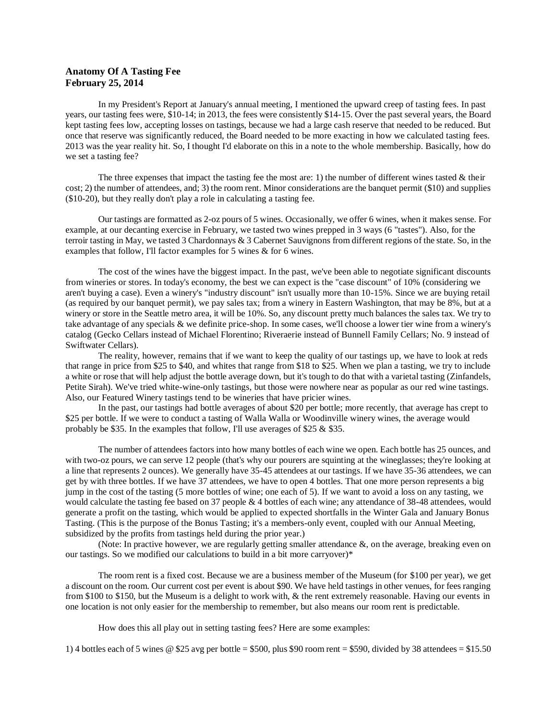## **Anatomy Of A Tasting Fee February 25, 2014**

In my President's Report at January's annual meeting, I mentioned the upward creep of tasting fees. In past years, our tasting fees were, \$10-14; in 2013, the fees were consistently \$14-15. Over the past several years, the Board kept tasting fees low, accepting losses on tastings, because we had a large cash reserve that needed to be reduced. But once that reserve was significantly reduced, the Board needed to be more exacting in how we calculated tasting fees. 2013 was the year reality hit. So, I thought I'd elaborate on this in a note to the whole membership. Basically, how do we set a tasting fee?

The three expenses that impact the tasting fee the most are: 1) the number of different wines tasted  $\&$  their cost; 2) the number of attendees, and; 3) the room rent. Minor considerations are the banquet permit (\$10) and supplies (\$10-20), but they really don't play a role in calculating a tasting fee.

Our tastings are formatted as 2-oz pours of 5 wines. Occasionally, we offer 6 wines, when it makes sense. For example, at our decanting exercise in February, we tasted two wines prepped in 3 ways (6 "tastes"). Also, for the terroir tasting in May, we tasted 3 Chardonnays & 3 Cabernet Sauvignons from different regions of the state. So, in the examples that follow, I'll factor examples for 5 wines & for 6 wines.

The cost of the wines have the biggest impact. In the past, we've been able to negotiate significant discounts from wineries or stores. In today's economy, the best we can expect is the "case discount" of 10% (considering we aren't buying a case). Even a winery's "industry discount" isn't usually more than 10-15%. Since we are buying retail (as required by our banquet permit), we pay sales tax; from a winery in Eastern Washington, that may be 8%, but at a winery or store in the Seattle metro area, it will be 10%. So, any discount pretty much balances the sales tax. We try to take advantage of any specials & we definite price-shop. In some cases, we'll choose a lower tier wine from a winery's catalog (Gecko Cellars instead of Michael Florentino; Riveraerie instead of Bunnell Family Cellars; No. 9 instead of Swiftwater Cellars).

The reality, however, remains that if we want to keep the quality of our tastings up, we have to look at reds that range in price from \$25 to \$40, and whites that range from \$18 to \$25. When we plan a tasting, we try to include a white or rose that will help adjust the bottle average down, but it's tough to do that with a varietal tasting (Zinfandels, Petite Sirah). We've tried white-wine-only tastings, but those were nowhere near as popular as our red wine tastings. Also, our Featured Winery tastings tend to be wineries that have pricier wines.

In the past, our tastings had bottle averages of about \$20 per bottle; more recently, that average has crept to \$25 per bottle. If we were to conduct a tasting of Walla Walla or Woodinville winery wines, the average would probably be \$35. In the examples that follow, I'll use averages of \$25 & \$35.

The number of attendees factors into how many bottles of each wine we open. Each bottle has 25 ounces, and with two-oz pours, we can serve 12 people (that's why our pourers are squinting at the wineglasses; they're looking at a line that represents 2 ounces). We generally have 35-45 attendees at our tastings. If we have 35-36 attendees, we can get by with three bottles. If we have 37 attendees, we have to open 4 bottles. That one more person represents a big jump in the cost of the tasting (5 more bottles of wine; one each of 5). If we want to avoid a loss on any tasting, we would calculate the tasting fee based on 37 people & 4 bottles of each wine; any attendance of 38-48 attendees, would generate a profit on the tasting, which would be applied to expected shortfalls in the Winter Gala and January Bonus Tasting. (This is the purpose of the Bonus Tasting; it's a members-only event, coupled with our Annual Meeting, subsidized by the profits from tastings held during the prior year.)

(Note: In practive however, we are regularly getting smaller attendance &, on the average, breaking even on our tastings. So we modified our calculations to build in a bit more carryover)\*

The room rent is a fixed cost. Because we are a business member of the Museum (for \$100 per year), we get a discount on the room. Our current cost per event is about \$90. We have held tastings in other venues, for fees ranging from \$100 to \$150, but the Museum is a delight to work with, & the rent extremely reasonable. Having our events in one location is not only easier for the membership to remember, but also means our room rent is predictable.

How does this all play out in setting tasting fees? Here are some examples:

1) 4 bottles each of 5 wines  $\otimes$  \$25 avg per bottle = \$500, plus \$90 room rent = \$590, divided by 38 attendees = \$15.50